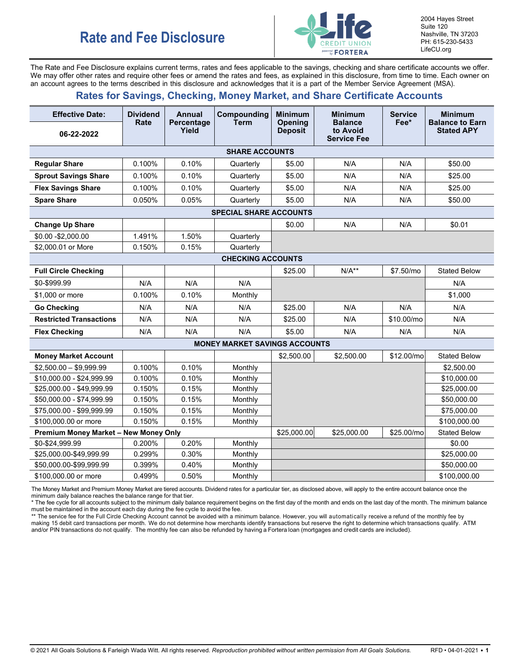

2004 Hayes Street Suite 120 Nashville, TN 37203 PH: 615-230-5433 LifeCU.org

The Rate and Fee Disclosure explains current terms, rates and fees applicable to the savings, checking and share certificate accounts we offer. We may offer other rates and require other fees or amend the rates and fees, as explained in this disclosure, from time to time. Each owner on an account agrees to the terms described in this disclosure and acknowledges that it is a part of the Member Service Agreement (MSA).

## **Rates for Savings, Checking, Money Market, and Share Certificate Accounts**

| <b>Effective Date:</b>                       | <b>Dividend</b><br>Rate | <b>Annual</b>       | Compounding<br><b>Term</b>           | <b>Minimum</b>                   | <b>Minimum</b><br><b>Balance</b> | <b>Service</b><br>Fee* | <b>Minimum</b><br><b>Balance to Earn</b> |
|----------------------------------------------|-------------------------|---------------------|--------------------------------------|----------------------------------|----------------------------------|------------------------|------------------------------------------|
| 06-22-2022                                   |                         | Percentage<br>Yield |                                      | <b>Opening</b><br><b>Deposit</b> | to Avoid<br><b>Service Fee</b>   |                        | <b>Stated APY</b>                        |
|                                              |                         |                     | <b>SHARE ACCOUNTS</b>                |                                  |                                  |                        |                                          |
| <b>Regular Share</b>                         | 0.100%                  | 0.10%               | Quarterly                            | \$5.00                           | N/A                              | N/A                    | \$50.00                                  |
| <b>Sprout Savings Share</b>                  | 0.100%                  | 0.10%               | Quarterly                            | \$5.00                           | N/A                              | N/A                    | \$25.00                                  |
| <b>Flex Savings Share</b>                    | 0.100%                  | 0.10%               | Quarterly                            | \$5.00                           | N/A                              | N/A                    | \$25.00                                  |
| <b>Spare Share</b>                           | 0.050%                  | 0.05%               | Quarterly                            | \$5.00                           | N/A                              | N/A                    | \$50.00                                  |
|                                              |                         |                     | <b>SPECIAL SHARE ACCOUNTS</b>        |                                  |                                  |                        |                                          |
| <b>Change Up Share</b>                       |                         |                     |                                      | \$0.00                           | N/A                              | N/A                    | \$0.01                                   |
| \$0.00 - \$2,000.00                          | 1.491%                  | 1.50%               | Quarterly                            |                                  |                                  |                        |                                          |
| \$2,000.01 or More                           | 0.150%                  | 0.15%               | Quarterly                            |                                  |                                  |                        |                                          |
|                                              |                         |                     | <b>CHECKING ACCOUNTS</b>             |                                  |                                  |                        |                                          |
| <b>Full Circle Checking</b>                  |                         |                     |                                      | \$25.00                          | $N/A**$                          | \$7.50/mo              | <b>Stated Below</b>                      |
| \$0-\$999.99                                 | N/A                     | N/A                 | N/A                                  |                                  |                                  |                        | N/A                                      |
| \$1.000 or more                              | 0.100%                  | 0.10%               | Monthly                              |                                  |                                  |                        | \$1,000                                  |
| <b>Go Checking</b>                           | N/A                     | N/A                 | N/A                                  | \$25.00                          | N/A                              | N/A                    | N/A                                      |
| <b>Restricted Transactions</b>               | N/A                     | N/A                 | N/A                                  | \$25.00                          | N/A                              | \$10.00/mo             | N/A                                      |
| <b>Flex Checking</b>                         | N/A                     | N/A                 | N/A                                  | \$5.00                           | N/A                              | N/A                    | N/A                                      |
|                                              |                         |                     | <b>MONEY MARKET SAVINGS ACCOUNTS</b> |                                  |                                  |                        |                                          |
| <b>Money Market Account</b>                  |                         |                     |                                      | \$2,500.00                       | \$2,500.00                       | \$12.00/mo             | <b>Stated Below</b>                      |
| $$2,500.00 - $9,999.99$                      | 0.100%                  | 0.10%               | Monthly                              |                                  |                                  |                        | \$2,500.00                               |
| \$10,000.00 - \$24,999.99                    | 0.100%                  | 0.10%               | Monthly                              |                                  |                                  |                        | \$10,000.00                              |
| \$25,000.00 - \$49,999.99                    | 0.150%                  | 0.15%               | Monthly                              |                                  |                                  |                        | \$25,000.00                              |
| \$50,000.00 - \$74,999.99                    | 0.150%                  | 0.15%               | Monthly                              |                                  |                                  |                        | \$50,000.00                              |
| \$75,000.00 - \$99,999.99                    | 0.150%                  | 0.15%               | Monthly                              |                                  |                                  |                        | \$75,000.00                              |
| \$100,000.00 or more                         | 0.150%                  | 0.15%               | Monthly                              |                                  |                                  |                        | \$100,000.00                             |
| <b>Premium Money Market - New Money Only</b> |                         |                     |                                      | \$25,000.00                      | \$25,000.00                      | \$25.00/mo             | <b>Stated Below</b>                      |
| \$0-\$24,999.99                              | 0.200%                  | 0.20%               | Monthly                              |                                  |                                  |                        | \$0.00                                   |
| \$25,000.00-\$49,999.99                      | 0.299%                  | 0.30%               | Monthly                              |                                  |                                  |                        | \$25,000.00                              |
| \$50,000.00-\$99,999.99                      | 0.399%                  | 0.40%               | Monthly                              |                                  |                                  |                        | \$50,000.00                              |
| \$100,000.00 or more                         | 0.499%                  | 0.50%               | Monthly                              |                                  |                                  |                        | \$100,000.00                             |

The Money Market and Premium Money Market are tiered accounts. Dividend rates for a particular tier, as disclosed above, will apply to the entire account balance once the minimum daily balance reaches the balance range for that tier.

\* The fee cycle for all accounts subject to the minimum daily balance requirement begins on the first day of the month and ends on the last day of the month. The minimum balance must be maintained in the account each day during the fee cycle to avoid the fee.

\*\* The service fee for the Full Circle Checking Account cannot be avoided with a minimum balance. However, you will automatically receive a refund of the monthly fee by making 15 debit card transactions per month. We do not determine how merchants identify transactions but reserve the right to determine which transactions qualify. ATM and/or PIN transactions do not qualify. The monthly fee can also be refunded by having a Fortera loan (mortgages and credit cards are included).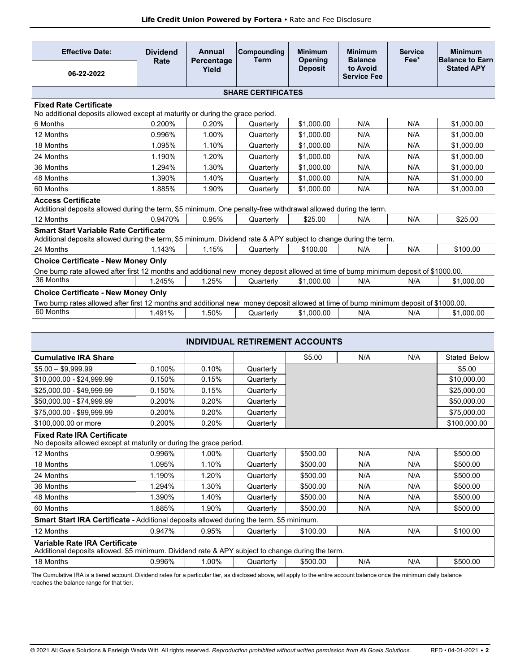| <b>Effective Date:</b>                                                                                                                                                            | <b>Dividend</b><br>Rate | Annual<br>Percentage | Compounding<br><b>Term</b> | <b>Minimum</b><br>Opening | <b>Minimum</b><br><b>Balance</b> | <b>Service</b><br>Fee* | <b>Minimum</b><br><b>Balance to Earn</b> |
|-----------------------------------------------------------------------------------------------------------------------------------------------------------------------------------|-------------------------|----------------------|----------------------------|---------------------------|----------------------------------|------------------------|------------------------------------------|
| 06-22-2022                                                                                                                                                                        |                         | Yield                |                            | <b>Deposit</b>            | to Avoid<br><b>Service Fee</b>   |                        | <b>Stated APY</b>                        |
|                                                                                                                                                                                   |                         |                      | <b>SHARE CERTIFICATES</b>  |                           |                                  |                        |                                          |
| <b>Fixed Rate Certificate</b><br>No additional deposits allowed except at maturity or during the grace period.                                                                    |                         |                      |                            |                           |                                  |                        |                                          |
| 6 Months                                                                                                                                                                          | 0.200%                  | 0.20%                | Quarterly                  | \$1,000.00                | N/A                              | N/A                    | \$1,000.00                               |
| 12 Months                                                                                                                                                                         | 0.996%                  | 1.00%                | Quarterly                  | \$1,000.00                | N/A                              | N/A                    | \$1,000.00                               |
| 18 Months                                                                                                                                                                         | 1.095%                  | 1.10%                | Quarterly                  | \$1,000.00                | N/A                              | N/A                    | \$1,000.00                               |
| 24 Months                                                                                                                                                                         | 1.190%                  | 1.20%                | Quarterly                  | \$1,000.00                | N/A                              | N/A                    | \$1,000.00                               |
| 36 Months                                                                                                                                                                         | 1.294%                  | 1.30%                | Quarterly                  | \$1,000.00                | N/A                              | N/A                    | \$1.000.00                               |
| 48 Months                                                                                                                                                                         | 1.390%                  | 1.40%                | Quarterly                  | \$1,000.00                | N/A                              | N/A                    | \$1,000.00                               |
| 60 Months                                                                                                                                                                         | 1.885%                  | 1.90%                | Quarterly                  | \$1,000.00                | N/A                              | N/A                    | \$1.000.00                               |
| <b>Access Certificate</b><br>Additional deposits allowed during the term, \$5 minimum. One penalty-free withdrawal allowed during the term.                                       |                         |                      |                            |                           |                                  |                        |                                          |
| 12 Months                                                                                                                                                                         | 0.9470%                 | 0.95%                | Quarterly                  | \$25.00                   | N/A                              | N/A                    | \$25.00                                  |
| <b>Smart Start Variable Rate Certificate</b><br>Additional deposits allowed during the term, \$5 minimum. Dividend rate & APY subject to change during the term.                  |                         |                      |                            |                           |                                  |                        |                                          |
| 24 Months                                                                                                                                                                         | 1.143%                  | 1.15%                | Quarterly                  | \$100.00                  | N/A                              | N/A                    | \$100.00                                 |
| <b>Choice Certificate - New Money Only</b>                                                                                                                                        |                         |                      |                            |                           |                                  |                        |                                          |
| One bump rate allowed after first 12 months and additional new money deposit allowed at time of bump minimum deposit of \$1000.00.                                                |                         |                      |                            |                           |                                  |                        |                                          |
| 36 Months                                                                                                                                                                         | 1.245%                  | 1.25%                | Quarterly                  | \$1,000.00                | N/A                              | N/A                    | \$1.000.00                               |
| <b>Choice Certificate - New Money Only</b><br>Two bump rates allowed after first 12 months and additional new money deposit allowed at time of bump minimum deposit of \$1000.00. |                         |                      |                            |                           |                                  |                        |                                          |
| 60 Months                                                                                                                                                                         | 1.491%                  | 1.50%                | Quarterly                  | \$1,000.00                | N/A                              | N/A                    | \$1,000.00                               |
|                                                                                                                                                                                   |                         |                      |                            |                           |                                  |                        |                                          |

| <b>INDIVIDUAL RETIREMENT ACCOUNTS</b>                                                                                             |        |       |           |          |     |     |                     |
|-----------------------------------------------------------------------------------------------------------------------------------|--------|-------|-----------|----------|-----|-----|---------------------|
| <b>Cumulative IRA Share</b>                                                                                                       |        |       |           | \$5.00   | N/A | N/A | <b>Stated Below</b> |
| $$5.00 - $9,999.99$                                                                                                               | 0.100% | 0.10% | Quarterly |          |     |     | \$5.00              |
| \$10,000.00 - \$24,999.99                                                                                                         | 0.150% | 0.15% | Quarterly |          |     |     | \$10,000.00         |
| \$25,000.00 - \$49,999.99                                                                                                         | 0.150% | 0.15% | Quarterly |          |     |     | \$25,000.00         |
| \$50,000.00 - \$74,999.99                                                                                                         | 0.200% | 0.20% | Quarterly |          |     |     | \$50,000.00         |
| \$75,000.00 - \$99,999.99                                                                                                         | 0.200% | 0.20% | Quarterly |          |     |     | \$75,000.00         |
| \$100,000.00 or more                                                                                                              | 0.200% | 0.20% | Quarterly |          |     |     | \$100,000.00        |
| <b>Fixed Rate IRA Certificate</b><br>No deposits allowed except at maturity or during the grace period.                           |        |       |           |          |     |     |                     |
| 12 Months                                                                                                                         | 0.996% | 1.00% | Quarterly | \$500.00 | N/A | N/A | \$500.00            |
| 18 Months                                                                                                                         | 1.095% | 1.10% | Quarterly | \$500.00 | N/A | N/A | \$500.00            |
| 24 Months                                                                                                                         | 1.190% | 1.20% | Quarterly | \$500.00 | N/A | N/A | \$500.00            |
| 36 Months                                                                                                                         | 1.294% | 1.30% | Quarterly | \$500.00 | N/A | N/A | \$500.00            |
| 48 Months                                                                                                                         | 1.390% | 1.40% | Quarterly | \$500.00 | N/A | N/A | \$500.00            |
| 60 Months                                                                                                                         | 1.885% | 1.90% | Quarterly | \$500.00 | N/A | N/A | \$500.00            |
| Smart Start IRA Certificate - Additional deposits allowed during the term, \$5 minimum.                                           |        |       |           |          |     |     |                     |
| 12 Months                                                                                                                         | 0.947% | 0.95% | Quarterly | \$100.00 | N/A | N/A | \$100.00            |
| Variable Rate IRA Certificate<br>Additional deposits allowed. \$5 minimum. Dividend rate & APY subject to change during the term. |        |       |           |          |     |     |                     |
| 18 Months                                                                                                                         | 0.996% | 1.00% | Quarterly | \$500.00 | N/A | N/A | \$500.00            |

The Cumulative IRA is a tiered account. Dividend rates for a particular tier, as disclosed above, will apply to the entire account balance once the minimum daily balance reaches the balance range for that tier.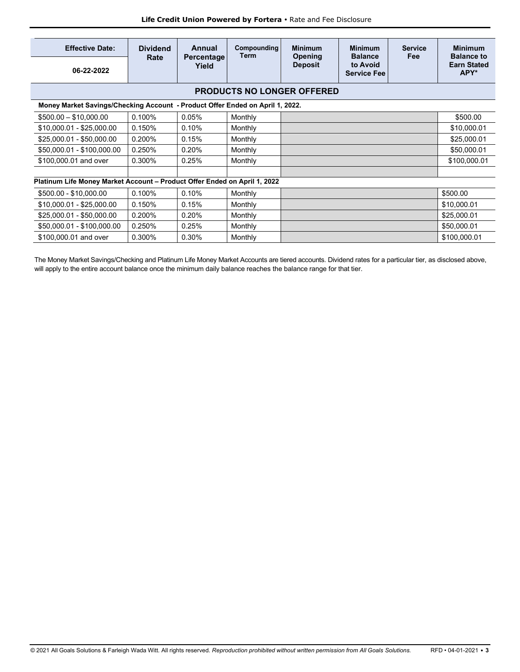| <b>Effective Date:</b>                                                        | <b>Dividend</b><br>Rate | Annual              | Compounding<br>Term | <b>Minimum</b><br>Opening         | <b>Minimum</b><br><b>Balance</b> | <b>Service</b><br>Fee | <b>Minimum</b><br><b>Balance to</b> |
|-------------------------------------------------------------------------------|-------------------------|---------------------|---------------------|-----------------------------------|----------------------------------|-----------------------|-------------------------------------|
| 06-22-2022                                                                    |                         | Percentage<br>Yield |                     | <b>Deposit</b>                    | to Avoid<br><b>Service Fee</b>   |                       | <b>Earn Stated</b><br>APY*          |
|                                                                               |                         |                     |                     | <b>PRODUCTS NO LONGER OFFERED</b> |                                  |                       |                                     |
| Money Market Savings/Checking Account - Product Offer Ended on April 1, 2022. |                         |                     |                     |                                   |                                  |                       |                                     |
| $$500.00 - $10,000.00$                                                        | 0.100%                  | 0.05%               | Monthly             |                                   |                                  |                       | \$500.00                            |
| \$10,000.01 - \$25,000.00                                                     | 0.150%                  | 0.10%               | Monthly             |                                   |                                  |                       | \$10,000.01                         |
| \$25,000.01 - \$50,000.00                                                     | 0.200%                  | 0.15%               | Monthly             |                                   |                                  |                       | \$25,000.01                         |
| \$50,000.01 - \$100,000.00                                                    | 0.250%                  | 0.20%               | Monthly             |                                   |                                  |                       | \$50,000.01                         |
| \$100,000.01 and over                                                         | 0.300%                  | 0.25%               | Monthly             |                                   |                                  |                       | \$100,000.01                        |
|                                                                               |                         |                     |                     |                                   |                                  |                       |                                     |
| Platinum Life Money Market Account - Product Offer Ended on April 1, 2022     |                         |                     |                     |                                   |                                  |                       |                                     |
| \$500.00 - \$10,000.00                                                        | 0.100%                  | 0.10%               | Monthly             |                                   |                                  |                       | \$500.00                            |
| \$10,000.01 - \$25,000.00                                                     | 0.150%                  | 0.15%               | Monthly             |                                   |                                  |                       | \$10,000.01                         |
| \$25,000.01 - \$50,000.00                                                     | 0.200%                  | 0.20%               | Monthly             |                                   |                                  |                       | \$25,000.01                         |
| \$50,000.01 - \$100,000.00                                                    | 0.250%                  | 0.25%               | Monthly             |                                   |                                  |                       | \$50,000.01                         |
| \$100,000.01 and over                                                         | 0.300%                  | 0.30%               | Monthly             |                                   |                                  |                       | \$100,000.01                        |
|                                                                               |                         |                     |                     |                                   |                                  |                       |                                     |

The Money Market Savings/Checking and Platinum Life Money Market Accounts are tiered accounts. Dividend rates for a particular tier, as disclosed above, will apply to the entire account balance once the minimum daily balance reaches the balance range for that tier.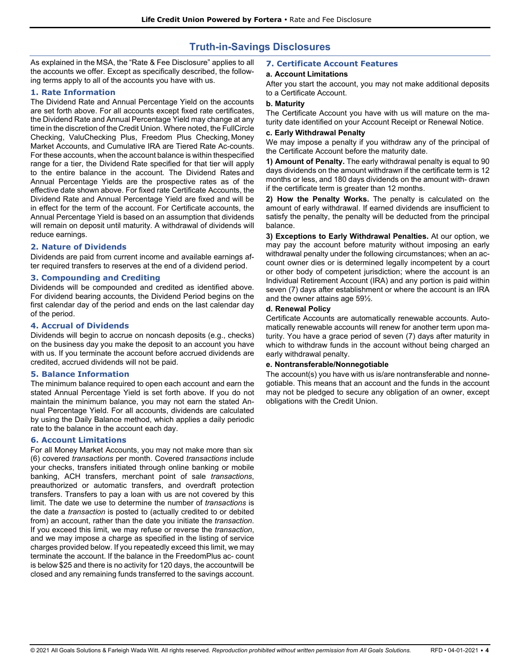# **Truth-in-Savings Disclosures**

As explained in the MSA, the "Rate & Fee Disclosure" applies to all the accounts we offer. Except as specifically described, the following terms apply to all of the accounts you have with us.

## **1. Rate Information**

The Dividend Rate and Annual Percentage Yield on the accounts are set forth above. For all accounts except fixed rate certificates, the Dividend Rate and Annual Percentage Yield may change at any time in the discretion of the Credit Union. Where noted, the FullCircle Checking, ValuChecking Plus, Freedom Plus Checking, Money Market Accounts, and Cumulative IRA are Tiered Rate Ac-counts. For these accounts, when the account balance is within thespecified range for a tier, the Dividend Rate specified for that tier will apply to the entire balance in the account. The Dividend Rates and Annual Percentage Yields are the prospective rates as of the effective date shown above. For fixed rate Certificate Accounts, the Dividend Rate and Annual Percentage Yield are fixed and will be in effect for the term of the account. For Certificate accounts, the Annual Percentage Yield is based on an assumption that dividends will remain on deposit until maturity. A withdrawal of dividends will reduce earnings.

## **2. Nature of Dividends**

Dividends are paid from current income and available earnings after required transfers to reserves at the end of a dividend period.

## **3. Compounding and Crediting**

Dividends will be compounded and credited as identified above. For dividend bearing accounts, the Dividend Period begins on the first calendar day of the period and ends on the last calendar day of the period.

#### **4. Accrual of Dividends**

Dividends will begin to accrue on noncash deposits (e.g., checks) on the business day you make the deposit to an account you have with us. If you terminate the account before accrued dividends are credited, accrued dividends will not be paid.

## **5. Balance Information**

The minimum balance required to open each account and earn the stated Annual Percentage Yield is set forth above. If you do not maintain the minimum balance, you may not earn the stated Annual Percentage Yield. For all accounts, dividends are calculated by using the Daily Balance method, which applies a daily periodic rate to the balance in the account each day.

## **6. Account Limitations**

For all Money Market Accounts, you may not make more than six (6) covered *transactions* per month. Covered *transactions* include your checks, transfers initiated through online banking or mobile banking, ACH transfers, merchant point of sale *transactions*, preauthorized or automatic transfers, and overdraft protection transfers. Transfers to pay a loan with us are not covered by this limit. The date we use to determine the number of *transactions* is the date a *transaction* is posted to (actually credited to or debited from) an account, rather than the date you initiate the *transaction*. If you exceed this limit, we may refuse or reverse the *transaction*, and we may impose a charge as specified in the listing of service charges provided below. If you repeatedly exceed this limit, we may terminate the account. If the balance in the FreedomPlus ac- count is below \$25 and there is no activity for 120 days, the accountwill be closed and any remaining funds transferred to the savings account.

## **7. Certificate Account Features**

#### **a. Account Limitations**

After you start the account, you may not make additional deposits to a Certificate Account.

#### **b. Maturity**

The Certificate Account you have with us will mature on the maturity date identified on your Account Receipt or Renewal Notice.

#### **c. Early Withdrawal Penalty**

We may impose a penalty if you withdraw any of the principal of the Certificate Account before the maturity date.

**1) Amount of Penalty.** The early withdrawal penalty is equal to 90 days dividends on the amount withdrawn if the certificate term is 12 months or less, and 180 days dividends on the amount with- drawn if the certificate term is greater than 12 months.

**2) How the Penalty Works.** The penalty is calculated on the amount of early withdrawal. If earned dividends are insufficient to satisfy the penalty, the penalty will be deducted from the principal balance.

**3) Exceptions to Early Withdrawal Penalties.** At our option, we may pay the account before maturity without imposing an early withdrawal penalty under the following circumstances; when an account owner dies or is determined legally incompetent by a court or other body of competent jurisdiction; where the account is an Individual Retirement Account (IRA) and any portion is paid within seven (7) days after establishment or where the account is an IRA and the owner attains age 59½.

#### **d. Renewal Policy**

Certificate Accounts are automatically renewable accounts. Automatically renewable accounts will renew for another term upon maturity. You have a grace period of seven (7) days after maturity in which to withdraw funds in the account without being charged an early withdrawal penalty.

#### **e. Nontransferable/Nonnegotiable**

The account(s) you have with us is/are nontransferable and nonnegotiable. This means that an account and the funds in the account may not be pledged to secure any obligation of an owner, except obligations with the Credit Union.